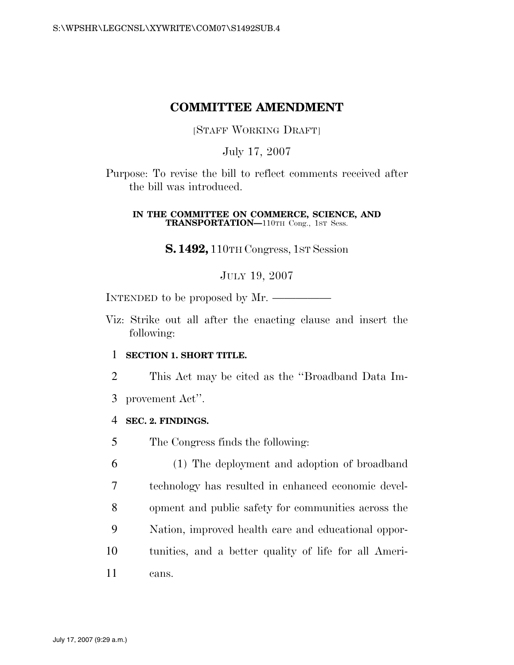## **COMMITTEE AMENDMENT**

[STAFF WORKING DRAFT]

July 17, 2007

Purpose: To revise the bill to reflect comments received after the bill was introduced.

#### **IN THE COMMITTEE ON COMMERCE, SCIENCE, AND TRANSPORTATION—**110TH Cong., 1ST Sess.

**S. 1492,** 110TH Congress, 1ST Session

JULY 19, 2007

INTENDED to be proposed by Mr.

Viz: Strike out all after the enacting clause and insert the following:

### 1 **SECTION 1. SHORT TITLE.**

- 2 This Act may be cited as the ''Broadband Data Im-
- 3 provement Act''.

#### 4 **SEC. 2. FINDINGS.**

5 The Congress finds the following:

 (1) The deployment and adoption of broadband technology has resulted in enhanced economic devel- opment and public safety for communities across the Nation, improved health care and educational oppor- tunities, and a better quality of life for all Ameri-11 cans.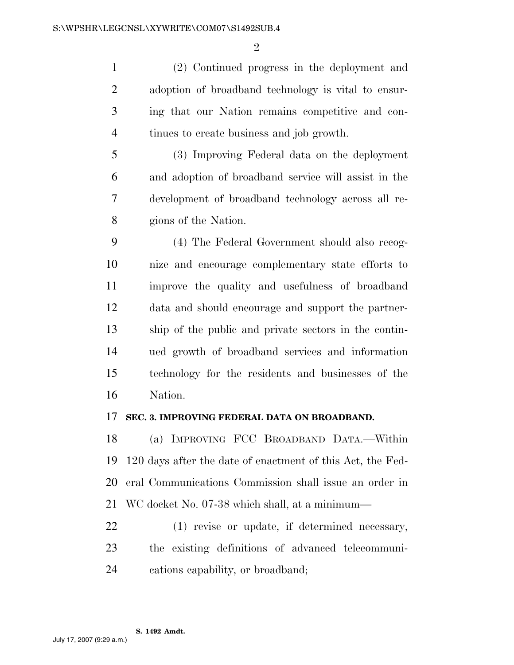$\mathfrak{D}$ 

 (2) Continued progress in the deployment and adoption of broadband technology is vital to ensur- ing that our Nation remains competitive and con-tinues to create business and job growth.

 (3) Improving Federal data on the deployment and adoption of broadband service will assist in the development of broadband technology across all re-gions of the Nation.

 (4) The Federal Government should also recog- nize and encourage complementary state efforts to improve the quality and usefulness of broadband data and should encourage and support the partner- ship of the public and private sectors in the contin- ued growth of broadband services and information technology for the residents and businesses of the Nation.

#### **SEC. 3. IMPROVING FEDERAL DATA ON BROADBAND.**

 (a) IMPROVING FCC BROADBAND DATA.—Within 120 days after the date of enactment of this Act, the Fed- eral Communications Commission shall issue an order in WC docket No. 07-38 which shall, at a minimum—

 (1) revise or update, if determined necessary, the existing definitions of advanced telecommuni-cations capability, or broadband;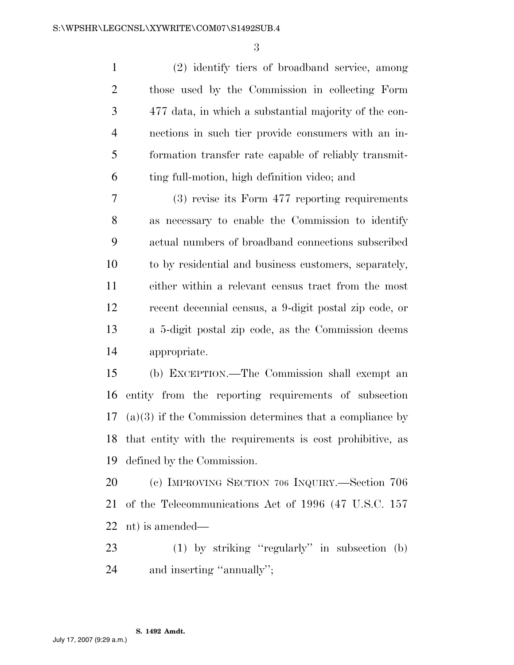(2) identify tiers of broadband service, among those used by the Commission in collecting Form 477 data, in which a substantial majority of the con- nections in such tier provide consumers with an in- formation transfer rate capable of reliably transmit-ting full-motion, high definition video; and

 (3) revise its Form 477 reporting requirements as necessary to enable the Commission to identify actual numbers of broadband connections subscribed to by residential and business customers, separately, either within a relevant census tract from the most recent decennial census, a 9-digit postal zip code, or a 5-digit postal zip code, as the Commission deems appropriate.

 (b) EXCEPTION.—The Commission shall exempt an entity from the reporting requirements of subsection (a)(3) if the Commission determines that a compliance by that entity with the requirements is cost prohibitive, as defined by the Commission.

 (c) IMPROVING SECTION 706 INQUIRY.—Section 706 of the Telecommunications Act of 1996 (47 U.S.C. 157 nt) is amended—

 (1) by striking ''regularly'' in subsection (b) and inserting ''annually'';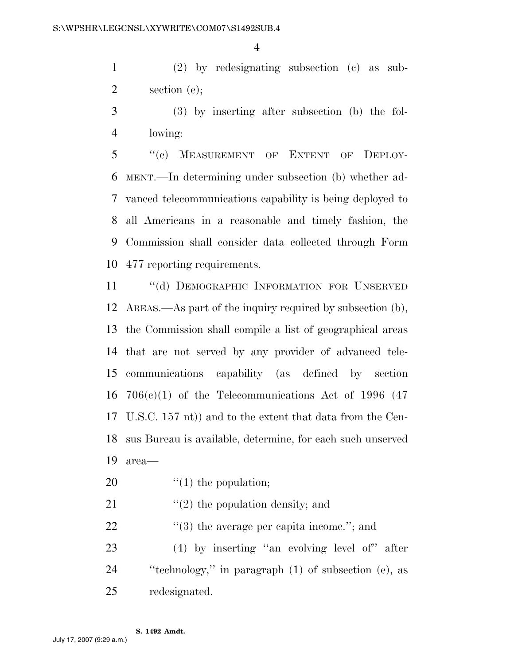(2) by redesignating subsection (c) as sub-section (e);

 (3) by inserting after subsection (b) the fol-lowing:

 ''(c) MEASUREMENT OF EXTENT OF DEPLOY- MENT.—In determining under subsection (b) whether ad- vanced telecommunications capability is being deployed to all Americans in a reasonable and timely fashion, the Commission shall consider data collected through Form 477 reporting requirements.

11 "(d) DEMOGRAPHIC INFORMATION FOR UNSERVED AREAS.—As part of the inquiry required by subsection (b), the Commission shall compile a list of geographical areas that are not served by any provider of advanced tele- communications capability (as defined by section  $706(c)(1)$  of the Telecommunications Act of 1996 (47) U.S.C. 157 nt)) and to the extent that data from the Cen- sus Bureau is available, determine, for each such unserved area—

20  $\frac{1}{2}$  (1) the population;

21  $\frac{1}{2}$  the population density; and

22  $\frac{1}{2}$  (3) the average per capita income."; and

 (4) by inserting ''an evolving level of'' after ''technology,'' in paragraph (1) of subsection (e), as redesignated.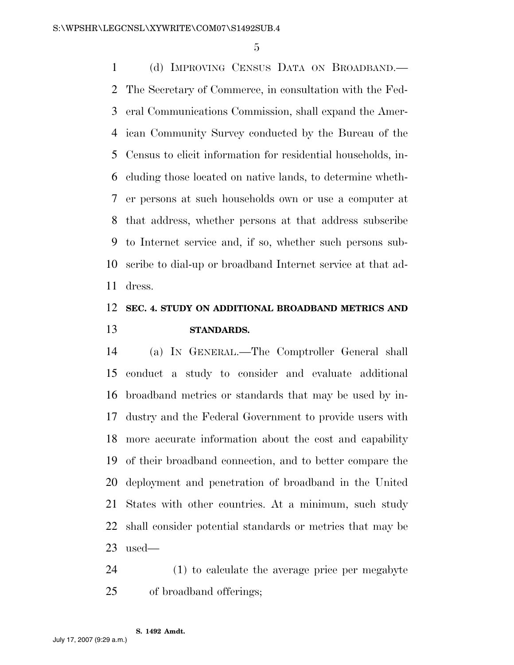(d) IMPROVING CENSUS DATA ON BROADBAND.— The Secretary of Commerce, in consultation with the Fed- eral Communications Commission, shall expand the Amer- ican Community Survey conducted by the Bureau of the Census to elicit information for residential households, in- cluding those located on native lands, to determine wheth- er persons at such households own or use a computer at that address, whether persons at that address subscribe to Internet service and, if so, whether such persons sub- scribe to dial-up or broadband Internet service at that ad-dress.

## **SEC. 4. STUDY ON ADDITIONAL BROADBAND METRICS AND STANDARDS.**

 (a) IN GENERAL.—The Comptroller General shall conduct a study to consider and evaluate additional broadband metrics or standards that may be used by in- dustry and the Federal Government to provide users with more accurate information about the cost and capability of their broadband connection, and to better compare the deployment and penetration of broadband in the United States with other countries. At a minimum, such study shall consider potential standards or metrics that may be used—

 (1) to calculate the average price per megabyte of broadband offerings;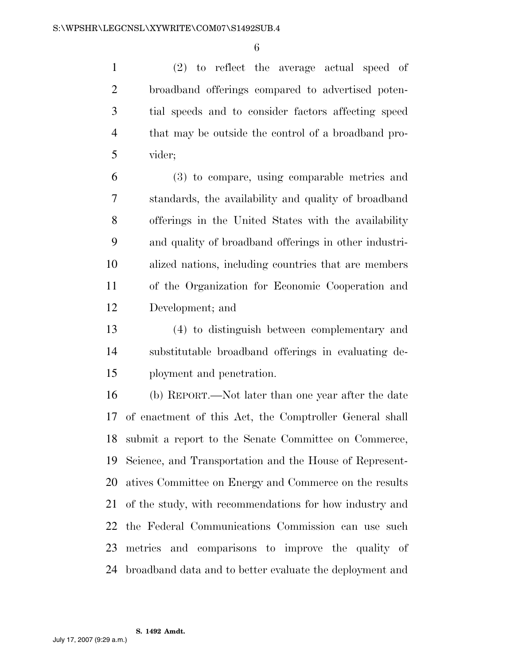(2) to reflect the average actual speed of broadband offerings compared to advertised poten- tial speeds and to consider factors affecting speed that may be outside the control of a broadband pro-vider;

 (3) to compare, using comparable metrics and standards, the availability and quality of broadband offerings in the United States with the availability and quality of broadband offerings in other industri- alized nations, including countries that are members of the Organization for Economic Cooperation and Development; and

 (4) to distinguish between complementary and substitutable broadband offerings in evaluating de-ployment and penetration.

 (b) REPORT.—Not later than one year after the date of enactment of this Act, the Comptroller General shall submit a report to the Senate Committee on Commerce, Science, and Transportation and the House of Represent- atives Committee on Energy and Commerce on the results of the study, with recommendations for how industry and the Federal Communications Commission can use such metrics and comparisons to improve the quality of broadband data and to better evaluate the deployment and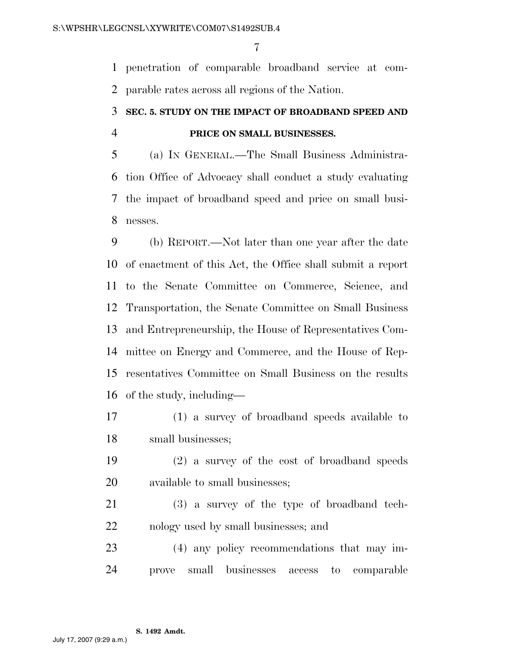penetration of comparable broadband service at com-parable rates across all regions of the Nation.

# **SEC. 5. STUDY ON THE IMPACT OF BROADBAND SPEED AND PRICE ON SMALL BUSINESSES.**

 (a) IN GENERAL.—The Small Business Administra- tion Office of Advocacy shall conduct a study evaluating the impact of broadband speed and price on small busi-nesses.

 (b) REPORT.—Not later than one year after the date of enactment of this Act, the Office shall submit a report to the Senate Committee on Commerce, Science, and Transportation, the Senate Committee on Small Business and Entrepreneurship, the House of Representatives Com- mittee on Energy and Commerce, and the House of Rep- resentatives Committee on Small Business on the results of the study, including—

 (1) a survey of broadband speeds available to small businesses;

 (2) a survey of the cost of broadband speeds available to small businesses;

 (3) a survey of the type of broadband tech-nology used by small businesses; and

 (4) any policy recommendations that may im-prove small businesses access to comparable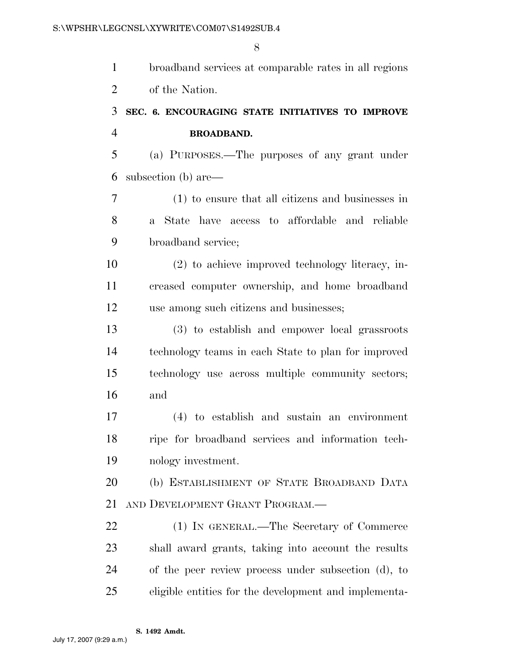|                | 8                                                     |
|----------------|-------------------------------------------------------|
| $\mathbf{1}$   | broadband services at comparable rates in all regions |
| $\overline{2}$ | of the Nation.                                        |
| 3              | SEC. 6. ENCOURAGING STATE INITIATIVES TO IMPROVE      |
| $\overline{4}$ | <b>BROADBAND.</b>                                     |
| 5              | (a) PURPOSES.—The purposes of any grant under         |
| 6              | subsection (b) are—                                   |
| 7              | (1) to ensure that all citizens and businesses in     |
| 8              | a State have access to affordable and reliable        |
| 9              | broadband service;                                    |
| 10             | $(2)$ to achieve improved technology literacy, in-    |
| 11             | creased computer ownership, and home broadband        |
| 12             | use among such citizens and businesses;               |
| 13             | (3) to establish and empower local grassroots         |
| 14             | technology teams in each State to plan for improved   |
| 15             | technology use across multiple community sectors;     |
| 16             | and                                                   |
| 17             | (4) to establish and sustain an environment           |
| 18             | ripe for broadband services and information tech-     |
| 19             | nology investment.                                    |
| 20             | (b) ESTABLISHMENT OF STATE BROADBAND DATA             |
| 21             | AND DEVELOPMENT GRANT PROGRAM.—                       |
| 22             | (1) IN GENERAL.—The Secretary of Commerce             |
| 23             | shall award grants, taking into account the results   |
| 24             | of the peer review process under subsection (d), to   |
| 25             | eligible entities for the development and implementa- |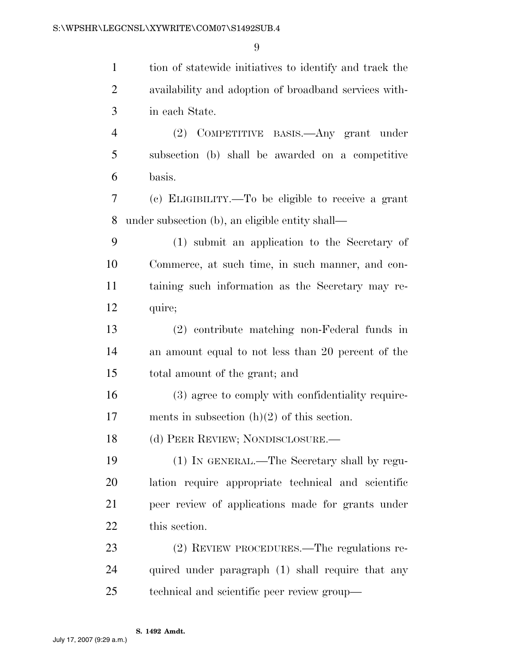| $\mathbf{1}$   | tion of statewide initiatives to identify and track the |
|----------------|---------------------------------------------------------|
| $\overline{2}$ | availability and adoption of broadband services with-   |
| 3              | in each State.                                          |
| $\overline{4}$ | (2) COMPETITIVE BASIS.—Any grant under                  |
| 5              | subsection (b) shall be awarded on a competitive        |
| 6              | basis.                                                  |
| 7              | (c) ELIGIBILITY.—To be eligible to receive a grant      |
| 8              | under subsection (b), an eligible entity shall—         |
| 9              | (1) submit an application to the Secretary of           |
| 10             | Commerce, at such time, in such manner, and con-        |
| 11             | taining such information as the Secretary may re-       |
| 12             | quire;                                                  |
| 13             | (2) contribute matching non-Federal funds in            |
| 14             | an amount equal to not less than 20 percent of the      |
| 15             | total amount of the grant; and                          |
| 16             | (3) agree to comply with confidentiality require-       |
| 17             | ments in subsection $(h)(2)$ of this section.           |
| 18             | (d) PEER REVIEW; NONDISCLOSURE.                         |
| 19             | (1) IN GENERAL.—The Secretary shall by regu-            |
| 20             | lation require appropriate technical and scientific     |
| 21             | peer review of applications made for grants under       |
| 22             | this section.                                           |
| 23             | (2) REVIEW PROCEDURES.—The regulations re-              |
| 24             | quired under paragraph (1) shall require that any       |
| 25             | technical and scientific peer review group—             |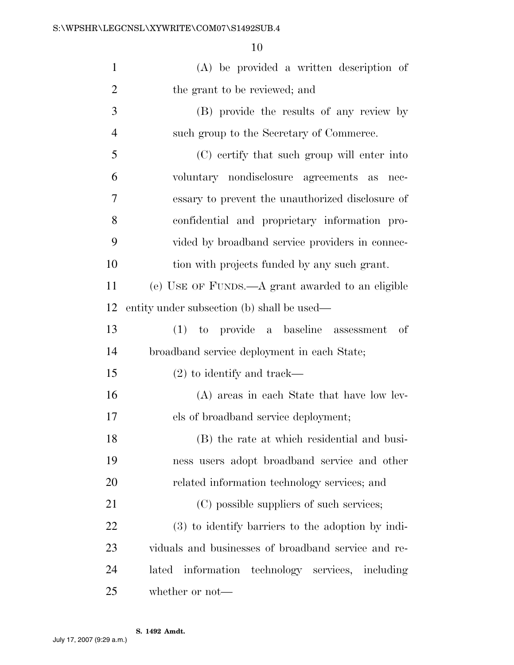| $\mathbf{1}$   | (A) be provided a written description of            |
|----------------|-----------------------------------------------------|
| $\overline{2}$ | the grant to be reviewed; and                       |
| 3              | (B) provide the results of any review by            |
| $\overline{4}$ | such group to the Secretary of Commerce.            |
| 5              | (C) certify that such group will enter into         |
| 6              | voluntary nondisclosure agreements as<br>nec-       |
| 7              | essary to prevent the unauthorized disclosure of    |
| 8              | confidential and proprietary information pro-       |
| 9              | vided by broadband service providers in connec-     |
| 10             | tion with projects funded by any such grant.        |
| 11             | (e) USE OF FUNDS.—A grant awarded to an eligible    |
| 12             | entity under subsection (b) shall be used—          |
| 13             | (1) to provide a baseline assessment<br>-of         |
| 14             | broadband service deployment in each State;         |
| 15             | $(2)$ to identify and track—                        |
| 16             | (A) areas in each State that have low lev-          |
| 17             | els of broadband service deployment;                |
| 18             | (B) the rate at which residential and busi-         |
| 19             | ness users adopt broadband service and other        |
| <b>20</b>      | related information technology services; and        |
| 21             | (C) possible suppliers of such services;            |
| 22             | (3) to identify barriers to the adoption by indi-   |
| 23             | viduals and businesses of broadband service and re- |
| 24             | information technology services, including<br>lated |
| 25             | whether or not—                                     |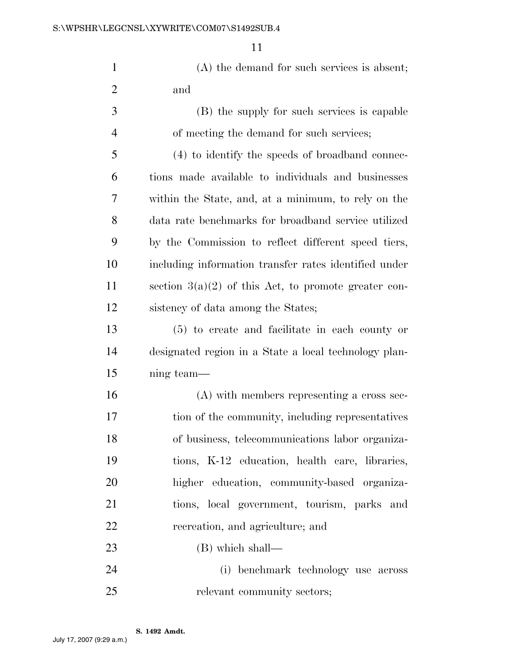|   | (A) the demand for such services is absent;     |
|---|-------------------------------------------------|
| 2 | and                                             |
| 3 | (B) the supply for such services is capable     |
|   | of meeting the demand for such services;        |
| 5 | (4) to identify the speeds of broadband connec- |
|   |                                                 |

 tions made available to individuals and businesses within the State, and, at a minimum, to rely on the data rate benchmarks for broadband service utilized by the Commission to reflect different speed tiers, including information transfer rates identified under 11 section  $3(a)(2)$  of this Act, to promote greater con-sistency of data among the States;

 (5) to create and facilitate in each county or designated region in a State a local technology plan-ning team—

 (A) with members representing a cross sec- tion of the community, including representatives of business, telecommunications labor organiza- tions, K-12 education, health care, libraries, higher education, community-based organiza- tions, local government, tourism, parks and recreation, and agriculture; and

(B) which shall—

 (i) benchmark technology use across 25 relevant community sectors;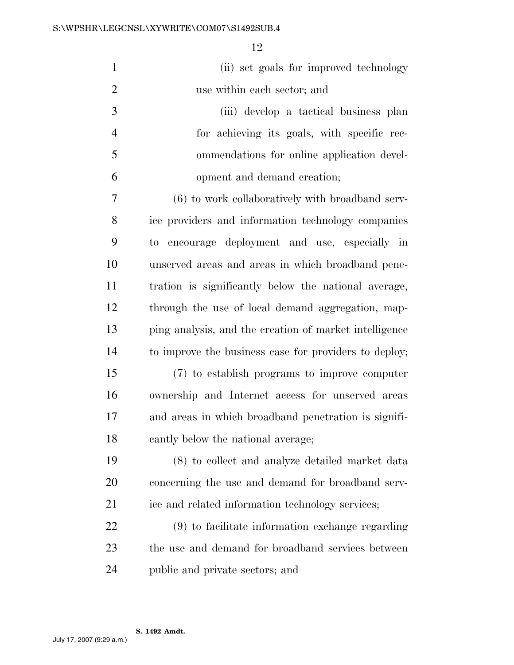| $\mathbf{1}$   | (ii) set goals for improved technology                 |
|----------------|--------------------------------------------------------|
| $\overline{2}$ | use within each sector; and                            |
| 3              | (iii) develop a tactical business plan                 |
| $\overline{4}$ | for achieving its goals, with specific rec-            |
| 5              | ommendations for online application devel-             |
| 6              | opment and demand creation;                            |
| $\overline{7}$ | (6) to work collaboratively with broadband serv-       |
| 8              | ice providers and information technology companies     |
| 9              | encourage deployment and use, especially in<br>to      |
| 10             | unserved areas and areas in which broadband pene-      |
| 11             | tration is significantly below the national average,   |
| 12             | through the use of local demand aggregation, map-      |
| 13             | ping analysis, and the creation of market intelligence |
| 14             | to improve the business case for providers to deploy;  |
| 15             | (7) to establish programs to improve computer          |
| 16             | ownership and Internet access for unserved areas       |
| 17             | and areas in which broadband penetration is signifi-   |
| 18             | cantly below the national average;                     |
| 19             | (8) to collect and analyze detailed market data        |
| 20             | concerning the use and demand for broadband serv-      |
| 21             | ice and related information technology services;       |
| 22             | (9) to facilitate information exchange regarding       |
| 23             | the use and demand for broadband services between      |
| 24             | public and private sectors; and                        |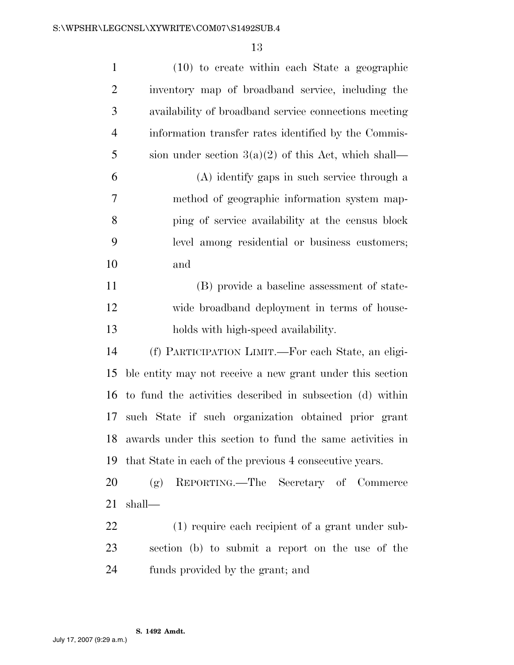| $\mathbf{1}$   | $(10)$ to create within each State a geographic           |
|----------------|-----------------------------------------------------------|
| $\overline{2}$ | inventory map of broadband service, including the         |
| 3              | availability of broadband service connections meeting     |
| $\overline{4}$ | information transfer rates identified by the Commis-      |
| 5              | sion under section $3(a)(2)$ of this Act, which shall—    |
| 6              | (A) identify gaps in such service through a               |
| 7              | method of geographic information system map-              |
| 8              | ping of service availability at the census block          |
| 9              | level among residential or business customers;            |
| 10             | and                                                       |
| 11             | (B) provide a baseline assessment of state-               |
| 12             | wide broadband deployment in terms of house-              |
| 13             | holds with high-speed availability.                       |
| 14             | (f) PARTICIPATION LIMIT.—For each State, an eligi-        |
| 15             | ble entity may not receive a new grant under this section |
| 16             | to fund the activities described in subsection (d) within |
| 17             | such State if such organization obtained prior grant      |
| 18             | awards under this section to fund the same activities in  |
| 19             | that State in each of the previous 4 consecutive years.   |
| 20             | REPORTING.—The Secretary of Commerce<br>(g)               |
| 21             | shall—                                                    |
| 22             | (1) require each recipient of a grant under sub-          |
| 23             | section (b) to submit a report on the use of the          |
| 24             | funds provided by the grant; and                          |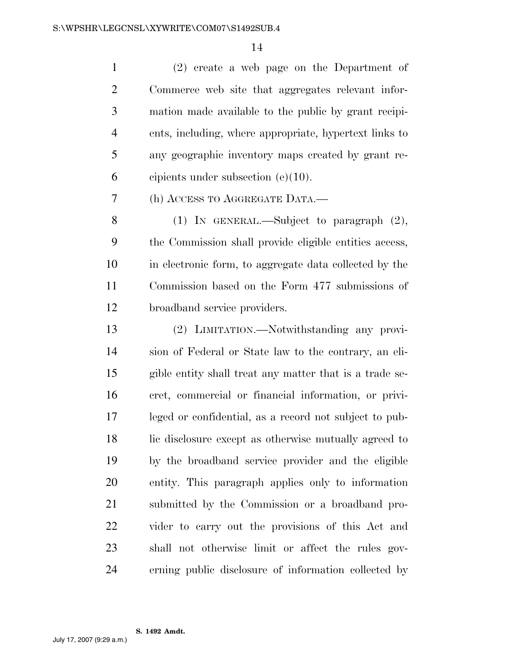(2) create a web page on the Department of Commerce web site that aggregates relevant infor- mation made available to the public by grant recipi- ents, including, where appropriate, hypertext links to any geographic inventory maps created by grant re-cipients under subsection (e)(10).

(h) ACCESS TO AGGREGATE DATA.—

 (1) IN GENERAL.—Subject to paragraph (2), the Commission shall provide eligible entities access, in electronic form, to aggregate data collected by the Commission based on the Form 477 submissions of broadband service providers.

 (2) LIMITATION.—Notwithstanding any provi- sion of Federal or State law to the contrary, an eli- gible entity shall treat any matter that is a trade se- cret, commercial or financial information, or privi- leged or confidential, as a record not subject to pub-18 lic disclosure except as otherwise mutually agreed to by the broadband service provider and the eligible entity. This paragraph applies only to information submitted by the Commission or a broadband pro- vider to carry out the provisions of this Act and shall not otherwise limit or affect the rules gov-erning public disclosure of information collected by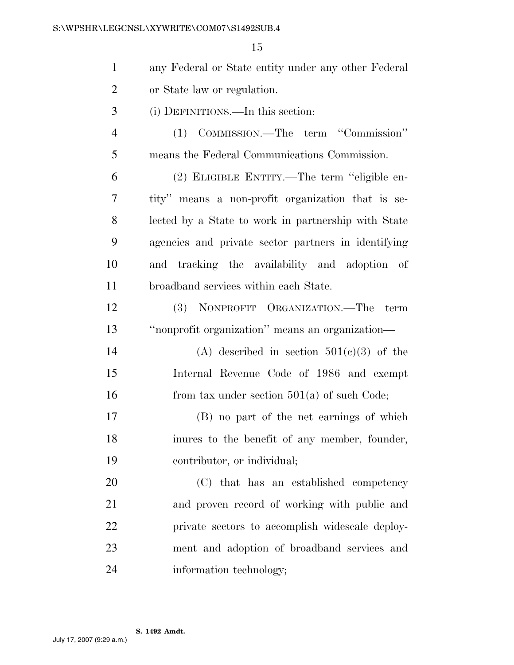| $\mathbf{1}$   | any Federal or State entity under any other Federal |
|----------------|-----------------------------------------------------|
| $\overline{2}$ | or State law or regulation.                         |
| 3              | (i) DEFINITIONS.—In this section:                   |
| $\overline{4}$ | (1) COMMISSION.—The term "Commission"               |
| 5              | means the Federal Communications Commission.        |
| 6              | (2) ELIGIBLE ENTITY.—The term "eligible en-         |
| 7              | tity" means a non-profit organization that is se-   |
| 8              | lected by a State to work in partnership with State |
| 9              | agencies and private sector partners in identifying |
| 10             | and tracking the availability and adoption of       |
| 11             | broadband services within each State.               |
| 12             | (3) NONPROFIT ORGANIZATION.—The term                |
| 13             | "nonprofit organization" means an organization-     |
| 14             | (A) described in section $501(c)(3)$ of the         |
| 15             | Internal Revenue Code of 1986 and exempt            |
| 16             | from tax under section $501(a)$ of such Code;       |
| 17             | (B) no part of the net earnings of which            |
| 18             | inures to the benefit of any member, founder,       |
| 19             | contributor, or individual;                         |
| 20             | (C) that has an established competency              |
| 21             | and proven record of working with public and        |
| 22             | private sectors to accomplish widescale deploy-     |
| 23             | ment and adoption of broadband services and         |
| 24             | information technology;                             |